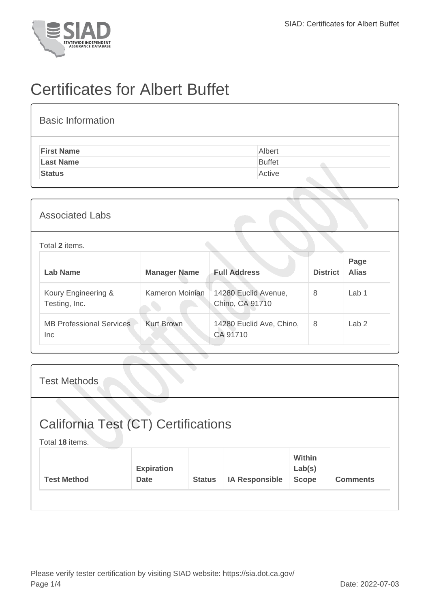

## Certificates for Albert Buffet

| <b>Basic Information</b> |               |
|--------------------------|---------------|
| <b>First Name</b>        | Albert        |
| <b>Last Name</b>         | <b>Buffet</b> |
| <b>Status</b>            | Active        |
|                          |               |

## Associated Labs

## Total **2** items.

| Lab Name                                | <b>Manager Name</b> | <b>Full Address</b>                     | <b>District</b> | Page<br><b>Alias</b> |
|-----------------------------------------|---------------------|-----------------------------------------|-----------------|----------------------|
| Koury Engineering &<br>Testing, Inc.    | Kameron Moinian     | 14280 Euclid Avenue,<br>Chino, CA 91710 | 8               | Lab 1                |
| <b>MB Professional Services</b><br>Inc. | <b>Kurt Brown</b>   | 14280 Euclid Ave, Chino,<br>CA 91710    | 8               | Lab <sub>2</sub>     |

| <b>Test Methods</b>                                    |                                  |               |                       |                                  |                 |
|--------------------------------------------------------|----------------------------------|---------------|-----------------------|----------------------------------|-----------------|
| California Test (CT) Certifications<br>Total 18 items. |                                  |               |                       |                                  |                 |
| <b>Test Method</b>                                     | <b>Expiration</b><br><b>Date</b> | <b>Status</b> | <b>IA Responsible</b> | Within<br>Lab(s)<br><b>Scope</b> | <b>Comments</b> |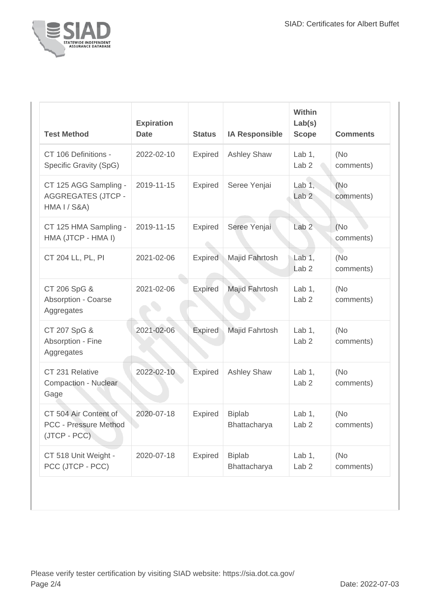

| <b>Test Method</b>                                                            | <b>Expiration</b><br><b>Date</b> | <b>Status</b>  | <b>IA Responsible</b>         | <b>Within</b><br>Lab(s)<br><b>Scope</b> | <b>Comments</b>   |
|-------------------------------------------------------------------------------|----------------------------------|----------------|-------------------------------|-----------------------------------------|-------------------|
| CT 106 Definitions -<br>Specific Gravity (SpG)                                | 2022-02-10                       | Expired        | <b>Ashley Shaw</b>            | Lab $1,$<br>Lab <sub>2</sub>            | (No<br>comments)  |
| CT 125 AGG Sampling -<br><b>AGGREGATES (JTCP -</b><br><b>HMA I / S&amp;A)</b> | 2019-11-15                       | <b>Expired</b> | Seree Yenjai                  | Lab $1,$<br>Lab <sub>2</sub>            | (No<br>comments)  |
| CT 125 HMA Sampling -<br>HMA (JTCP - HMA I)                                   | 2019-11-15                       | <b>Expired</b> | Seree Yenjai                  | Lab <sub>2</sub>                        | (No<br>comments)  |
| CT 204 LL, PL, PI                                                             | 2021-02-06                       | <b>Expired</b> | Majid Fahrtosh                | Lab $1,$<br>Lab <sub>2</sub>            | (No<br>comments)  |
| CT 206 SpG &<br><b>Absorption - Coarse</b><br>Aggregates                      | 2021-02-06                       | <b>Expired</b> | Majid Fahrtosh                | Lab $1,$<br>Lab <sub>2</sub>            | (No<br>comments)  |
| CT 207 SpG &<br>Absorption - Fine<br>Aggregates                               | 2021-02-06                       | Expired        | Majid Fahrtosh                | Lab $1$ ,<br>Lab <sub>2</sub>           | (No)<br>comments) |
| CT 231 Relative<br>Compaction - Nuclear<br>Gage                               | 2022-02-10                       | Expired        | <b>Ashley Shaw</b>            | Lab $1,$<br>Lab <sub>2</sub>            | (No<br>comments)  |
| CT 504 Air Content of<br>PCC - Pressure Method<br>(JTCP - PCC)                | 2020-07-18                       | <b>Expired</b> | <b>Biplab</b><br>Bhattacharya | Lab $1$ ,<br>Lab <sub>2</sub>           | (No<br>comments)  |
| CT 518 Unit Weight -<br>PCC (JTCP - PCC)                                      | 2020-07-18                       | <b>Expired</b> | <b>Biplab</b><br>Bhattacharya | Lab $1,$<br>Lab <sub>2</sub>            | (No<br>comments)  |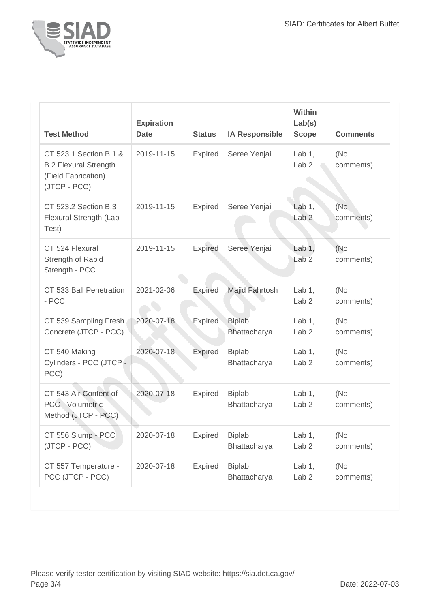

| <b>Test Method</b>                                                                            | <b>Expiration</b><br><b>Date</b> | <b>Status</b>  | <b>IA Responsible</b>         | Within<br>Lab(s)<br><b>Scope</b>       | <b>Comments</b>   |
|-----------------------------------------------------------------------------------------------|----------------------------------|----------------|-------------------------------|----------------------------------------|-------------------|
| CT 523.1 Section B.1 &<br><b>B.2 Flexural Strength</b><br>(Field Fabrication)<br>(JTCP - PCC) | 2019-11-15                       | Expired        | Seree Yenjai                  | Lab $1,$<br>Lab <sub>2</sub>           | (No<br>comments)  |
| CT 523.2 Section B.3<br>Flexural Strength (Lab<br>Test)                                       | 2019-11-15                       | <b>Expired</b> | Seree Yenjai                  | Lab $1$ ,<br>Lab <sub>2</sub>          | (No<br>comments)  |
| CT 524 Flexural<br>Strength of Rapid<br>Strength - PCC                                        | 2019-11-15                       | <b>Expired</b> | Seree Yenjai                  | Lab <sub>1</sub> ,<br>Lab <sub>2</sub> | (No)<br>comments) |
| CT 533 Ball Penetration<br>- PCC                                                              | 2021-02-06                       | <b>Expired</b> | Majid Fahrtosh                | Lab $1$ ,<br>Lab <sub>2</sub>          | (No<br>comments)  |
| CT 539 Sampling Fresh<br>Concrete (JTCP - PCC)                                                | 2020-07-18                       | <b>Expired</b> | <b>Biplab</b><br>Bhattacharya | Lab $1$ ,<br>Lab <sub>2</sub>          | (No)<br>comments) |
| CT 540 Making<br>Cylinders - PCC (JTCP-<br>PCC)                                               | 2020-07-18                       | <b>Expired</b> | <b>Biplab</b><br>Bhattacharya | Lab $1$ ,<br>Lab <sub>2</sub>          | (No<br>comments)  |
| CT 543 Air Content of<br><b>PCC - Volumetric</b><br>Method (JTCP - PCC)                       | 2020-07-18                       | <b>Expired</b> | <b>Biplab</b><br>Bhattacharya | Lab $1,$<br>Lab <sub>2</sub>           | (No<br>comments)  |
| CT 556 Slump - PCC<br>(JTCP - PCC)                                                            | 2020-07-18                       | <b>Expired</b> | <b>Biplab</b><br>Bhattacharya | Lab $1,$<br>Lab <sub>2</sub>           | (No<br>comments)  |
| CT 557 Temperature -<br>PCC (JTCP - PCC)                                                      | 2020-07-18                       | <b>Expired</b> | <b>Biplab</b><br>Bhattacharya | Lab $1,$<br>Lab <sub>2</sub>           | (No<br>comments)  |